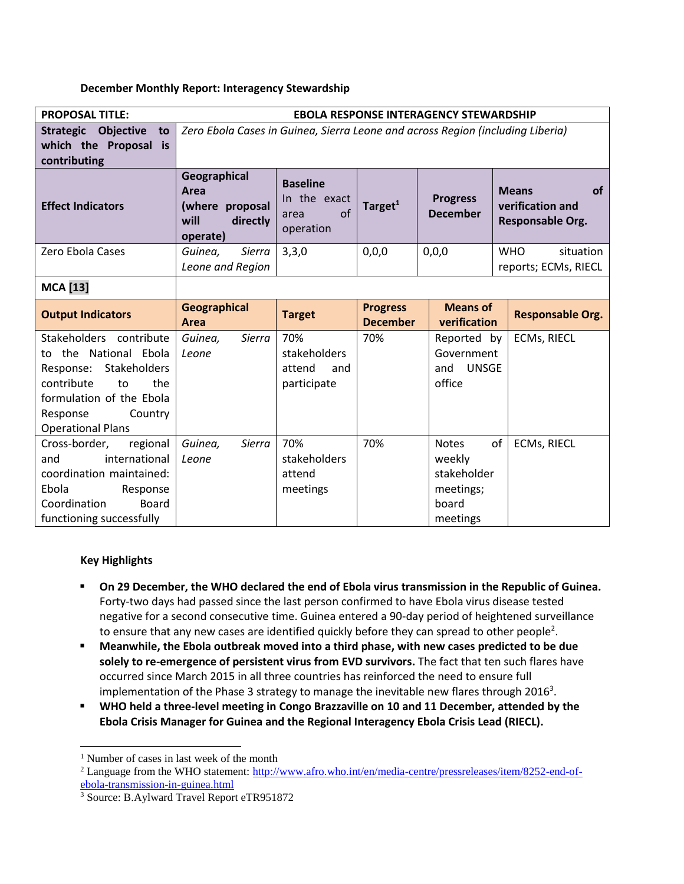### **December Monthly Report: Interagency Stewardship**

| <b>PROPOSAL TITLE:</b>                                                                                                                                                               | <b>EBOLA RESPONSE INTERAGENCY STEWARDSHIP</b>                                  |                                                            |                                    |                                                                         |                                                            |
|--------------------------------------------------------------------------------------------------------------------------------------------------------------------------------------|--------------------------------------------------------------------------------|------------------------------------------------------------|------------------------------------|-------------------------------------------------------------------------|------------------------------------------------------------|
| <b>Strategic</b><br>Objective<br>to<br>which the Proposal is<br>contributing                                                                                                         | Zero Ebola Cases in Guinea, Sierra Leone and across Region (including Liberia) |                                                            |                                    |                                                                         |                                                            |
| <b>Effect Indicators</b>                                                                                                                                                             | Geographical<br>Area<br>(where proposal<br>will<br>directly<br>operate)        | <b>Baseline</b><br>In the exact<br>of<br>area<br>operation | Target $1$                         | <b>Progress</b><br><b>December</b>                                      | <b>Means</b><br>of<br>verification and<br>Responsable Org. |
| Zero Ebola Cases                                                                                                                                                                     | Sierra<br>Guinea,<br>Leone and Region                                          | 3,3,0                                                      | 0,0,0                              | 0,0,0                                                                   | <b>WHO</b><br>situation<br>reports; ECMs, RIECL            |
| <b>MCA</b> [13]                                                                                                                                                                      |                                                                                |                                                            |                                    |                                                                         |                                                            |
| <b>Output Indicators</b>                                                                                                                                                             | <b>Geographical</b><br>Area                                                    | <b>Target</b>                                              | <b>Progress</b><br><b>December</b> | <b>Means of</b><br>verification                                         | <b>Responsable Org.</b>                                    |
| Stakeholders contribute<br>to the National Ebola<br>Response: Stakeholders<br>contribute<br>the<br>to<br>formulation of the Ebola<br>Response<br>Country<br><b>Operational Plans</b> | Sierra<br>Guinea,<br>Leone                                                     | 70%<br>stakeholders<br>attend<br>and<br>participate        | 70%                                | Reported by<br>Government<br><b>UNSGE</b><br>and<br>office              | <b>ECMs, RIECL</b>                                         |
| Cross-border,<br>regional<br>international<br>and<br>coordination maintained:<br>Ebola<br>Response<br>Board<br>Coordination<br>functioning successfully                              | Guinea,<br><b>Sierra</b><br>Leone                                              | 70%<br>stakeholders<br>attend<br>meetings                  | 70%                                | <b>Notes</b><br>weekly<br>stakeholder<br>meetings;<br>board<br>meetings | of<br><b>ECMs, RIECL</b>                                   |

# **Key Highlights**

 $\overline{\phantom{a}}$ 

- **On 29 December, the WHO declared the end of Ebola virus transmission in the Republic of Guinea.**  Forty-two days had passed since the last person confirmed to have Ebola virus disease tested negative for a second consecutive time. Guinea entered a 90-day period of heightened surveillance to ensure that any new cases are identified quickly before they can spread to other people<sup>2</sup>.
- **Meanwhile, the Ebola outbreak moved into a third phase, with new cases predicted to be due solely to re-emergence of persistent virus from EVD survivors.** The fact that ten such flares have occurred since March 2015 in all three countries has reinforced the need to ensure full implementation of the Phase 3 strategy to manage the inevitable new flares through 2016<sup>3</sup>.
- **WHO held a three-level meeting in Congo Brazzaville on 10 and 11 December, attended by the Ebola Crisis Manager for Guinea and the Regional Interagency Ebola Crisis Lead (RIECL).**

<sup>&</sup>lt;sup>1</sup> Number of cases in last week of the month

<sup>&</sup>lt;sup>2</sup> Language from the WHO statement: [http://www.afro.who.int/en/media-centre/pressreleases/item/8252-end-of](http://www.afro.who.int/en/media-centre/pressreleases/item/8252-end-of-ebola-transmission-in-guinea.html)[ebola-transmission-in-guinea.html](http://www.afro.who.int/en/media-centre/pressreleases/item/8252-end-of-ebola-transmission-in-guinea.html)

<sup>3</sup> Source: B.Aylward Travel Report eTR951872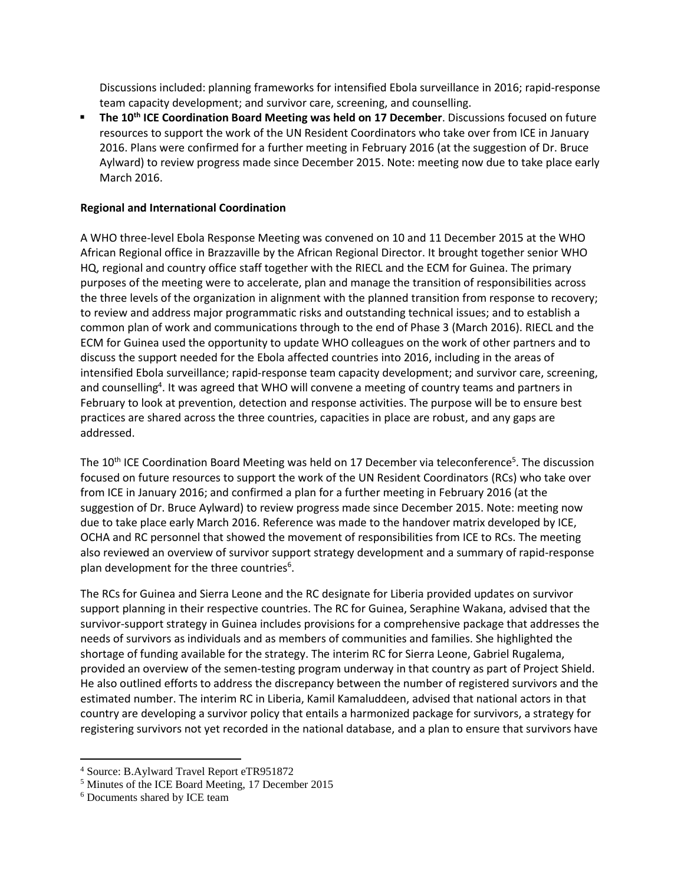Discussions included: planning frameworks for intensified Ebola surveillance in 2016; rapid-response team capacity development; and survivor care, screening, and counselling.

 **The 10th ICE Coordination Board Meeting was held on 17 December**. Discussions focused on future resources to support the work of the UN Resident Coordinators who take over from ICE in January 2016. Plans were confirmed for a further meeting in February 2016 (at the suggestion of Dr. Bruce Aylward) to review progress made since December 2015. Note: meeting now due to take place early March 2016.

# **Regional and International Coordination**

A WHO three-level Ebola Response Meeting was convened on 10 and 11 December 2015 at the WHO African Regional office in Brazzaville by the African Regional Director. It brought together senior WHO HQ, regional and country office staff together with the RIECL and the ECM for Guinea. The primary purposes of the meeting were to accelerate, plan and manage the transition of responsibilities across the three levels of the organization in alignment with the planned transition from response to recovery; to review and address major programmatic risks and outstanding technical issues; and to establish a common plan of work and communications through to the end of Phase 3 (March 2016). RIECL and the ECM for Guinea used the opportunity to update WHO colleagues on the work of other partners and to discuss the support needed for the Ebola affected countries into 2016, including in the areas of intensified Ebola surveillance; rapid-response team capacity development; and survivor care, screening, and counselling<sup>4</sup>. It was agreed that WHO will convene a meeting of country teams and partners in February to look at prevention, detection and response activities. The purpose will be to ensure best practices are shared across the three countries, capacities in place are robust, and any gaps are addressed.

The 10<sup>th</sup> ICE Coordination Board Meeting was held on 17 December via teleconference<sup>5</sup>. The discussion focused on future resources to support the work of the UN Resident Coordinators (RCs) who take over from ICE in January 2016; and confirmed a plan for a further meeting in February 2016 (at the suggestion of Dr. Bruce Aylward) to review progress made since December 2015. Note: meeting now due to take place early March 2016. Reference was made to the handover matrix developed by ICE, OCHA and RC personnel that showed the movement of responsibilities from ICE to RCs. The meeting also reviewed an overview of survivor support strategy development and a summary of rapid-response plan development for the three countries<sup>6</sup>.

The RCs for Guinea and Sierra Leone and the RC designate for Liberia provided updates on survivor support planning in their respective countries. The RC for Guinea, Seraphine Wakana, advised that the survivor-support strategy in Guinea includes provisions for a comprehensive package that addresses the needs of survivors as individuals and as members of communities and families. She highlighted the shortage of funding available for the strategy. The interim RC for Sierra Leone, Gabriel Rugalema, provided an overview of the semen-testing program underway in that country as part of Project Shield. He also outlined efforts to address the discrepancy between the number of registered survivors and the estimated number. The interim RC in Liberia, Kamil Kamaluddeen, advised that national actors in that country are developing a survivor policy that entails a harmonized package for survivors, a strategy for registering survivors not yet recorded in the national database, and a plan to ensure that survivors have

 $\overline{\phantom{a}}$ 

<sup>4</sup> Source: B.Aylward Travel Report eTR951872

<sup>5</sup> Minutes of the ICE Board Meeting, 17 December 2015

<sup>6</sup> Documents shared by ICE team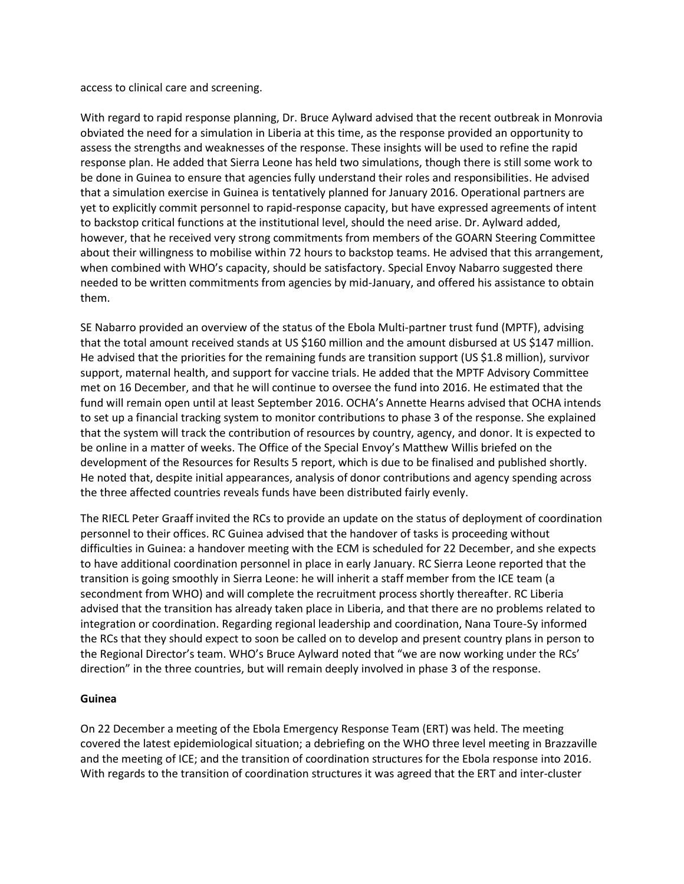access to clinical care and screening.

With regard to rapid response planning, Dr. Bruce Aylward advised that the recent outbreak in Monrovia obviated the need for a simulation in Liberia at this time, as the response provided an opportunity to assess the strengths and weaknesses of the response. These insights will be used to refine the rapid response plan. He added that Sierra Leone has held two simulations, though there is still some work to be done in Guinea to ensure that agencies fully understand their roles and responsibilities. He advised that a simulation exercise in Guinea is tentatively planned for January 2016. Operational partners are yet to explicitly commit personnel to rapid-response capacity, but have expressed agreements of intent to backstop critical functions at the institutional level, should the need arise. Dr. Aylward added, however, that he received very strong commitments from members of the GOARN Steering Committee about their willingness to mobilise within 72 hours to backstop teams. He advised that this arrangement, when combined with WHO's capacity, should be satisfactory. Special Envoy Nabarro suggested there needed to be written commitments from agencies by mid-January, and offered his assistance to obtain them.

SE Nabarro provided an overview of the status of the Ebola Multi-partner trust fund (MPTF), advising that the total amount received stands at US \$160 million and the amount disbursed at US \$147 million. He advised that the priorities for the remaining funds are transition support (US \$1.8 million), survivor support, maternal health, and support for vaccine trials. He added that the MPTF Advisory Committee met on 16 December, and that he will continue to oversee the fund into 2016. He estimated that the fund will remain open until at least September 2016. OCHA's Annette Hearns advised that OCHA intends to set up a financial tracking system to monitor contributions to phase 3 of the response. She explained that the system will track the contribution of resources by country, agency, and donor. It is expected to be online in a matter of weeks. The Office of the Special Envoy's Matthew Willis briefed on the development of the Resources for Results 5 report, which is due to be finalised and published shortly. He noted that, despite initial appearances, analysis of donor contributions and agency spending across the three affected countries reveals funds have been distributed fairly evenly.

The RIECL Peter Graaff invited the RCs to provide an update on the status of deployment of coordination personnel to their offices. RC Guinea advised that the handover of tasks is proceeding without difficulties in Guinea: a handover meeting with the ECM is scheduled for 22 December, and she expects to have additional coordination personnel in place in early January. RC Sierra Leone reported that the transition is going smoothly in Sierra Leone: he will inherit a staff member from the ICE team (a secondment from WHO) and will complete the recruitment process shortly thereafter. RC Liberia advised that the transition has already taken place in Liberia, and that there are no problems related to integration or coordination. Regarding regional leadership and coordination, Nana Toure-Sy informed the RCs that they should expect to soon be called on to develop and present country plans in person to the Regional Director's team. WHO's Bruce Aylward noted that "we are now working under the RCs' direction" in the three countries, but will remain deeply involved in phase 3 of the response.

#### **Guinea**

On 22 December a meeting of the Ebola Emergency Response Team (ERT) was held. The meeting covered the latest epidemiological situation; a debriefing on the WHO three level meeting in Brazzaville and the meeting of ICE; and the transition of coordination structures for the Ebola response into 2016. With regards to the transition of coordination structures it was agreed that the ERT and inter-cluster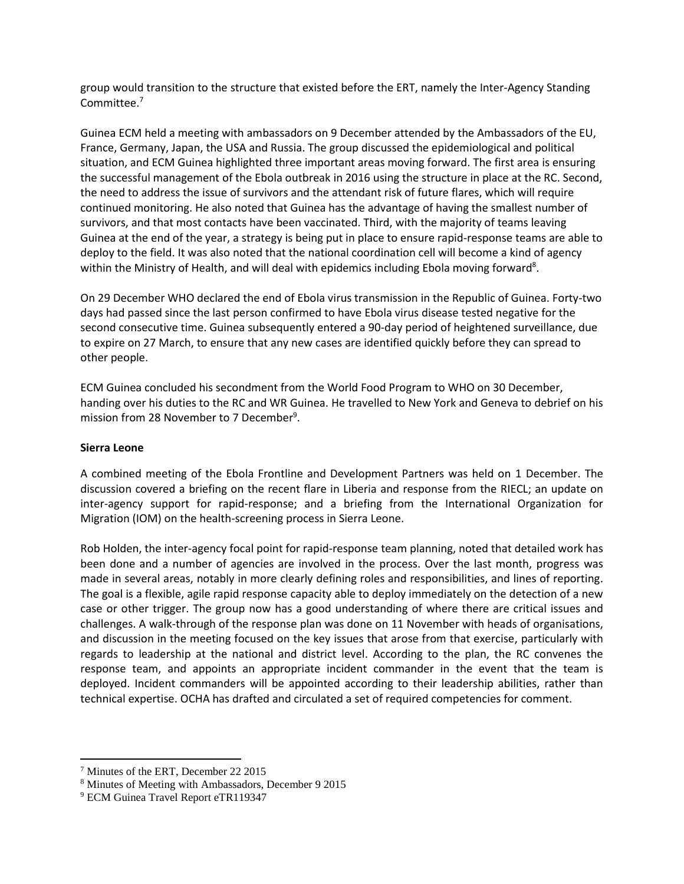group would transition to the structure that existed before the ERT, namely the Inter-Agency Standing Committee. 7

Guinea ECM held a meeting with ambassadors on 9 December attended by the Ambassadors of the EU, France, Germany, Japan, the USA and Russia. The group discussed the epidemiological and political situation, and ECM Guinea highlighted three important areas moving forward. The first area is ensuring the successful management of the Ebola outbreak in 2016 using the structure in place at the RC. Second, the need to address the issue of survivors and the attendant risk of future flares, which will require continued monitoring. He also noted that Guinea has the advantage of having the smallest number of survivors, and that most contacts have been vaccinated. Third, with the majority of teams leaving Guinea at the end of the year, a strategy is being put in place to ensure rapid-response teams are able to deploy to the field. It was also noted that the national coordination cell will become a kind of agency within the Ministry of Health, and will deal with epidemics including Ebola moving forward<sup>8</sup>.

On 29 December WHO declared the end of Ebola virus transmission in the Republic of Guinea. Forty-two days had passed since the last person confirmed to have Ebola virus disease tested negative for the second consecutive time. Guinea subsequently entered a 90-day period of heightened surveillance, due to expire on 27 March, to ensure that any new cases are identified quickly before they can spread to other people.

ECM Guinea concluded his secondment from the World Food Program to WHO on 30 December, handing over his duties to the RC and WR Guinea. He travelled to New York and Geneva to debrief on his mission from 28 November to 7 December<sup>9</sup>.

## **Sierra Leone**

 $\overline{\phantom{a}}$ 

A combined meeting of the Ebola Frontline and Development Partners was held on 1 December. The discussion covered a briefing on the recent flare in Liberia and response from the RIECL; an update on inter-agency support for rapid-response; and a briefing from the International Organization for Migration (IOM) on the health-screening process in Sierra Leone.

Rob Holden, the inter-agency focal point for rapid-response team planning, noted that detailed work has been done and a number of agencies are involved in the process. Over the last month, progress was made in several areas, notably in more clearly defining roles and responsibilities, and lines of reporting. The goal is a flexible, agile rapid response capacity able to deploy immediately on the detection of a new case or other trigger. The group now has a good understanding of where there are critical issues and challenges. A walk-through of the response plan was done on 11 November with heads of organisations, and discussion in the meeting focused on the key issues that arose from that exercise, particularly with regards to leadership at the national and district level. According to the plan, the RC convenes the response team, and appoints an appropriate incident commander in the event that the team is deployed. Incident commanders will be appointed according to their leadership abilities, rather than technical expertise. OCHA has drafted and circulated a set of required competencies for comment.

<sup>7</sup> Minutes of the ERT, December 22 2015

<sup>8</sup> Minutes of Meeting with Ambassadors, December 9 2015

<sup>&</sup>lt;sup>9</sup> ECM Guinea Travel Report eTR119347